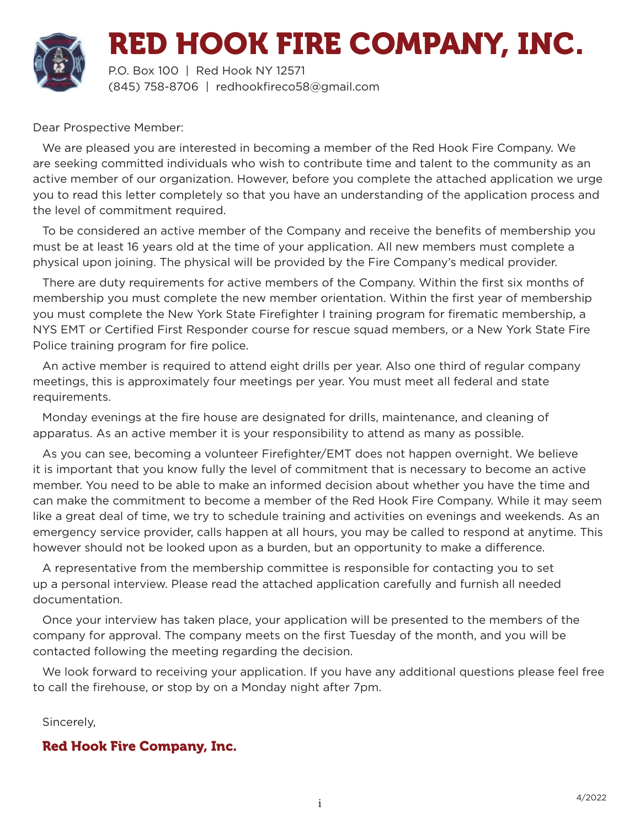

P.O. Box 100 | Red Hook NY 12571 (845) 758-8706 | redhookfireco58@gmail.com

Dear Prospective Member:

We are pleased you are interested in becoming a member of the Red Hook Fire Company. We are seeking committed individuals who wish to contribute time and talent to the community as an active member of our organization. However, before you complete the attached application we urge you to read this letter completely so that you have an understanding of the application process and the level of commitment required.

To be considered an active member of the Company and receive the benefits of membership you must be at least 16 years old at the time of your application. All new members must complete a physical upon joining. The physical will be provided by the Fire Company's medical provider.

There are duty requirements for active members of the Company. Within the first six months of membership you must complete the new member orientation. Within the first year of membership you must complete the New York State Firefighter I training program for firematic membership, a NYS EMT or Certified First Responder course for rescue squad members, or a New York State Fire Police training program for fire police.

An active member is required to attend eight drills per year. Also one third of regular company meetings, this is approximately four meetings per year. You must meet all federal and state requirements.

Monday evenings at the fire house are designated for drills, maintenance, and cleaning of apparatus. As an active member it is your responsibility to attend as many as possible.

As you can see, becoming a volunteer Firefighter/EMT does not happen overnight. We believe it is important that you know fully the level of commitment that is necessary to become an active member. You need to be able to make an informed decision about whether you have the time and can make the commitment to become a member of the Red Hook Fire Company. While it may seem like a great deal of time, we try to schedule training and activities on evenings and weekends. As an emergency service provider, calls happen at all hours, you may be called to respond at anytime. This however should not be looked upon as a burden, but an opportunity to make a difference.

A representative from the membership committee is responsible for contacting you to set up a personal interview. Please read the attached application carefully and furnish all needed documentation.

Once your interview has taken place, your application will be presented to the members of the company for approval. The company meets on the first Tuesday of the month, and you will be contacted following the meeting regarding the decision.

We look forward to receiving your application. If you have any additional questions please feel free to call the firehouse, or stop by on a Monday night after 7pm.

Sincerely,

#### Red Hook Fire Company, Inc.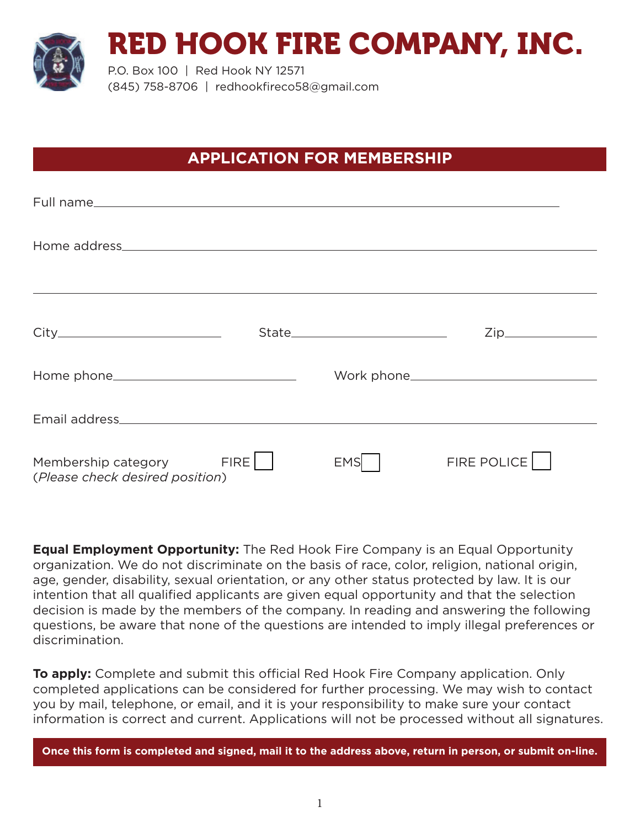

P.O. Box 100 | Red Hook NY 12571 (845) 758-8706 | redhookfireco58@gmail.com

# **APPLICATION FOR MEMBERSHIP**

|                                                               |            | Zip_________________ |  |
|---------------------------------------------------------------|------------|----------------------|--|
|                                                               |            |                      |  |
|                                                               |            |                      |  |
| Membership category FIRE  <br>(Please check desired position) | <b>EMS</b> | FIRE POLICE          |  |

**Equal Employment Opportunity:** The Red Hook Fire Company is an Equal Opportunity organization. We do not discriminate on the basis of race, color, religion, national origin, age, gender, disability, sexual orientation, or any other status protected by law. It is our intention that all qualified applicants are given equal opportunity and that the selection decision is made by the members of the company. In reading and answering the following questions, be aware that none of the questions are intended to imply illegal preferences or discrimination.

**To apply:** Complete and submit this official Red Hook Fire Company application. Only completed applications can be considered for further processing. We may wish to contact you by mail, telephone, or email, and it is your responsibility to make sure your contact information is correct and current. Applications will not be processed without all signatures.

**Once this form is completed and signed, mail it to the address above, return in person, or submit on-line.**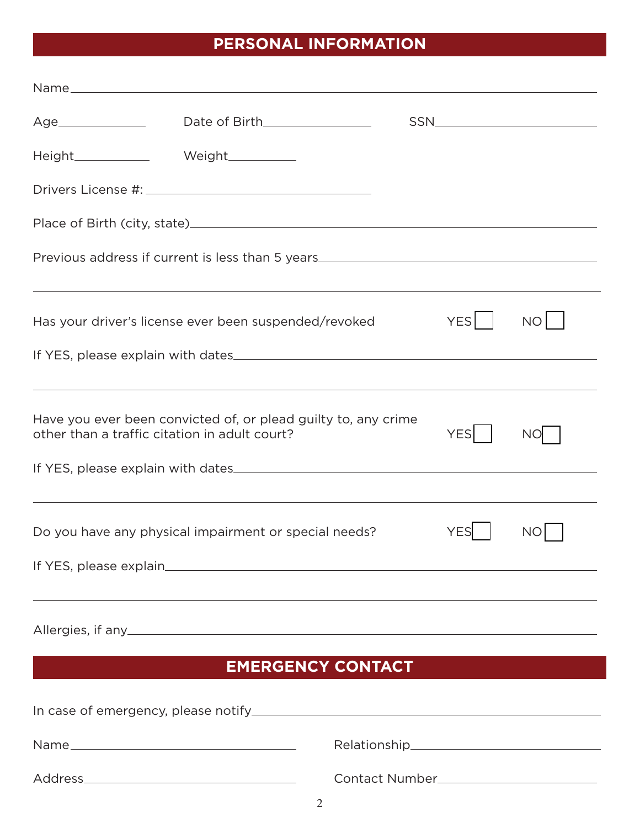# **PERSONAL INFORMATION**

| Height_______________  Weight____________     |                                                                                                                                                                      |                                        |                  |           |
|-----------------------------------------------|----------------------------------------------------------------------------------------------------------------------------------------------------------------------|----------------------------------------|------------------|-----------|
|                                               |                                                                                                                                                                      |                                        |                  |           |
|                                               |                                                                                                                                                                      |                                        |                  |           |
|                                               | Previous address if current is less than 5 years________________________________<br>,我们也不会有什么。""我们的人,我们也不会有什么?""我们的人,我们也不会有什么?""我们的人,我们也不会有什么?""我们的人,我们也不会有什么?""我们的人 |                                        |                  |           |
|                                               | Has your driver's license ever been suspended/revoked                                                                                                                |                                        | YES <sup>I</sup> | NO        |
|                                               |                                                                                                                                                                      |                                        |                  |           |
| other than a traffic citation in adult court? | ,我们也不能会有什么。""我们的人,我们也不能会有什么?""我们的人,我们也不能会有什么?""我们的人,我们也不能会有什么?""我们的人,我们也不能会有什么?""<br>Have you ever been convicted of, or plead guilty to, any crime                  |                                        | <b>YES</b>       | <b>NO</b> |
|                                               | ,我们也不会有什么。""我们的人,我们也不会有什么?""我们的人,我们也不会有什么?""我们的人,我们也不会有什么?""我们的人,我们也不会有什么?""我们的人<br>Do you have any physical impairment or special needs?                            |                                        | <b>YES</b>       | <b>NO</b> |
|                                               | ,我们也不会有什么?""我们的人,我们也不会有什么?""我们的人,我们也不会有什么?""我们的人,我们也不会有什么?""我们的人,我们也不会有什么?""我们的人<br><b>EMERGENCY CONTACT</b>                                                         |                                        |                  |           |
|                                               |                                                                                                                                                                      |                                        |                  |           |
|                                               |                                                                                                                                                                      |                                        |                  |           |
|                                               |                                                                                                                                                                      | Contact Number________________________ |                  |           |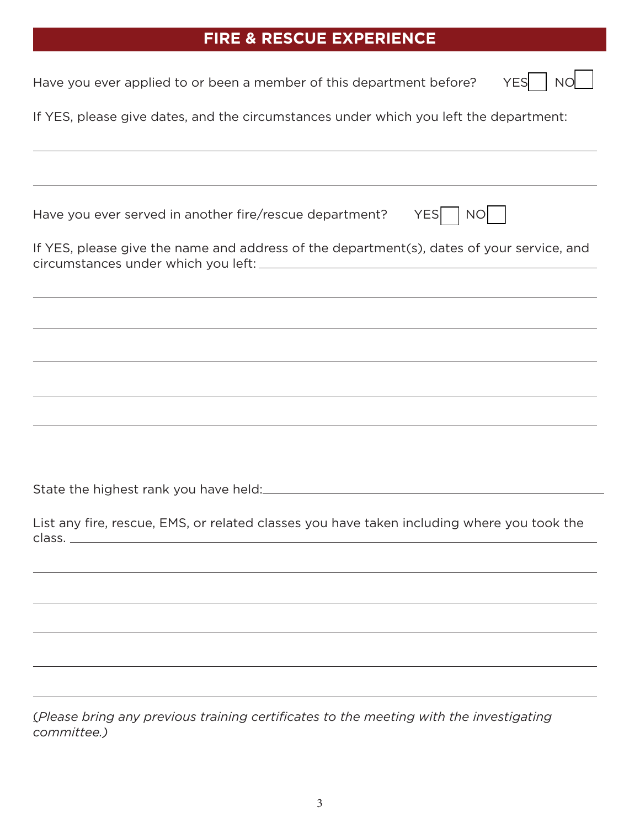# **FIRE & RESCUE EXPERIENCE**

| <b>NO</b><br><b>YES</b><br>Have you ever applied to or been a member of this department before?                                                                                                                                                                    |
|--------------------------------------------------------------------------------------------------------------------------------------------------------------------------------------------------------------------------------------------------------------------|
| If YES, please give dates, and the circumstances under which you left the department:                                                                                                                                                                              |
| ,我们也不能在这里的时候,我们也不能在这里的时候,我们也不能会不能会不能会不能会不能会不能会不能会不能会。<br>第2012章 我们的时候,我们的时候,我们的时候,我们的时候,我们的时候,我们的时候,我们的时候,我们的时候,我们的时候,我们的时候,我们的时候,我们的时候,我<br><u> 1989 - Johann Harry Harry Harry Harry Harry Harry Harry Harry Harry Harry Harry Harry Harry Harry Harry Harry</u> |
| YES   NO<br>Have you ever served in another fire/rescue department?                                                                                                                                                                                                |
| If YES, please give the name and address of the department(s), dates of your service, and                                                                                                                                                                          |
| <u> 1989 - Johann Stoff, amerikansk politiker (d. 1989)</u><br><u> 1989 - Johann Stoff, deutscher Stoff, der Stoff, der Stoff, der Stoff, der Stoff, der Stoff, der Stoff, der S</u>                                                                               |
| ,我们也不会有什么。""我们的人,我们也不会有什么?""我们的人,我们也不会有什么?""我们的人,我们也不会有什么?""我们的人,我们也不会有什么?""我们的人                                                                                                                                                                                   |
|                                                                                                                                                                                                                                                                    |
| <u> 1989 - Johann Stoff, amerikansk politiker (d. 1989)</u>                                                                                                                                                                                                        |
|                                                                                                                                                                                                                                                                    |
|                                                                                                                                                                                                                                                                    |
| List any fire, rescue, EMS, or related classes you have taken including where you took the<br>class.                                                                                                                                                               |
|                                                                                                                                                                                                                                                                    |
|                                                                                                                                                                                                                                                                    |
|                                                                                                                                                                                                                                                                    |
|                                                                                                                                                                                                                                                                    |
|                                                                                                                                                                                                                                                                    |
| (Please bring any previous training certificates to the meeting with the investigating<br>committee.)                                                                                                                                                              |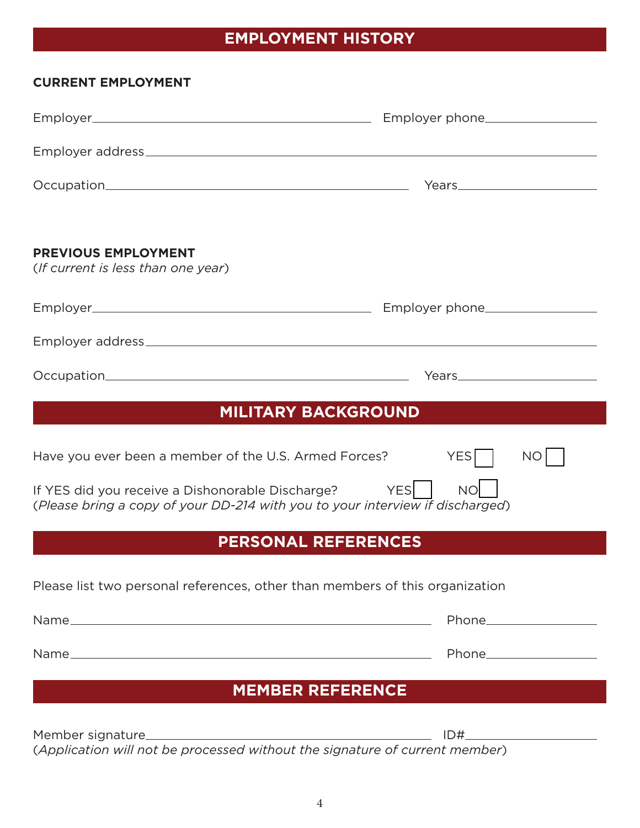# **EMPLOYMENT HISTORY**

| <b>CURRENT EMPLOYMENT</b>                                                                                                         |                    |  |  |
|-----------------------------------------------------------------------------------------------------------------------------------|--------------------|--|--|
|                                                                                                                                   |                    |  |  |
|                                                                                                                                   |                    |  |  |
|                                                                                                                                   |                    |  |  |
| <b>PREVIOUS EMPLOYMENT</b><br>(If current is less than one year)                                                                  |                    |  |  |
|                                                                                                                                   |                    |  |  |
|                                                                                                                                   |                    |  |  |
|                                                                                                                                   |                    |  |  |
| <b>MILITARY BACKGROUND</b>                                                                                                        |                    |  |  |
| Have you ever been a member of the U.S. Armed Forces?                                                                             | <b>YES</b><br>NO   |  |  |
| If YES did you receive a Dishonorable Discharge?<br>(Please bring a copy of your DD-214 with you to your interview if discharged) | YES  <br><b>NO</b> |  |  |
| <b>PERSONAL REFERENCES</b>                                                                                                        |                    |  |  |
| Please list two personal references, other than members of this organization                                                      |                    |  |  |
|                                                                                                                                   |                    |  |  |
|                                                                                                                                   |                    |  |  |
| <b>MEMBER REFERENCE</b>                                                                                                           |                    |  |  |
| (Application will not be processed without the signature of current member)                                                       |                    |  |  |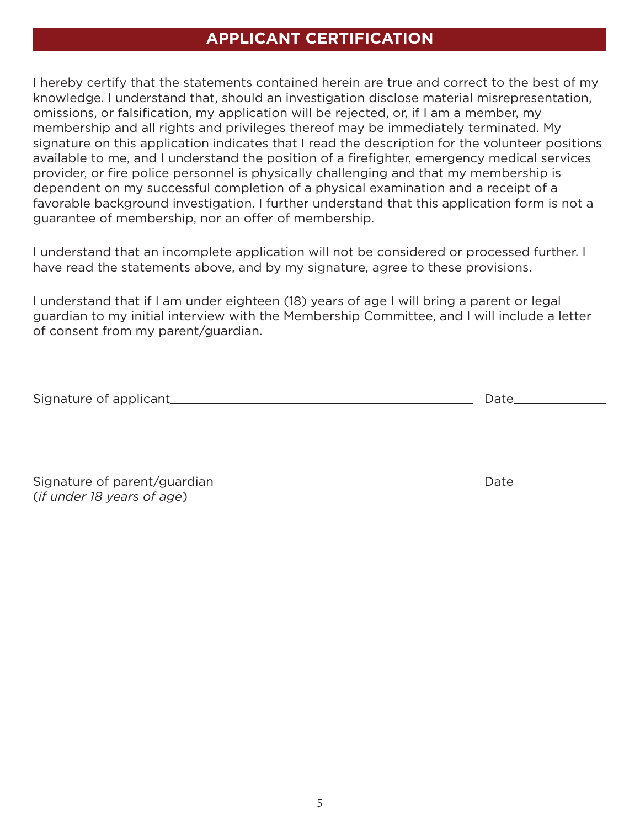## **APPLICANT CERTIFICATION**

I hereby certify that the statements contained herein are true and correct to the best of my knowledge. I understand that, should an investigation disclose material misrepresentation, omissions, or falsification, my application will be rejected, or, if I am a member, my membership and all rights and privileges thereof may be immediately terminated. My signature on this application indicates that I read the description for the volunteer positions available to me, and I understand the position of a firefighter, emergency medical services provider, or fire police personnel is physically challenging and that my membership is dependent on my successful completion of a physical examination and a receipt of a favorable background investigation. I further understand that this application form is not a guarantee of membership, nor an offer of membership.

I understand that an incomplete application will not be considered or processed further. I have read the statements above, and by my signature, agree to these provisions.

I understand that if I am under eighteen (18) years of age I will bring a parent or legal guardian to my initial interview with the Membership Committee, and I will include a letter of consent from my parent/guardian.

| Signature of applicant       | Date_ |
|------------------------------|-------|
|                              |       |
|                              |       |
|                              |       |
| Signature of parent/guardian | Date_ |

(*if under 18 years of age*)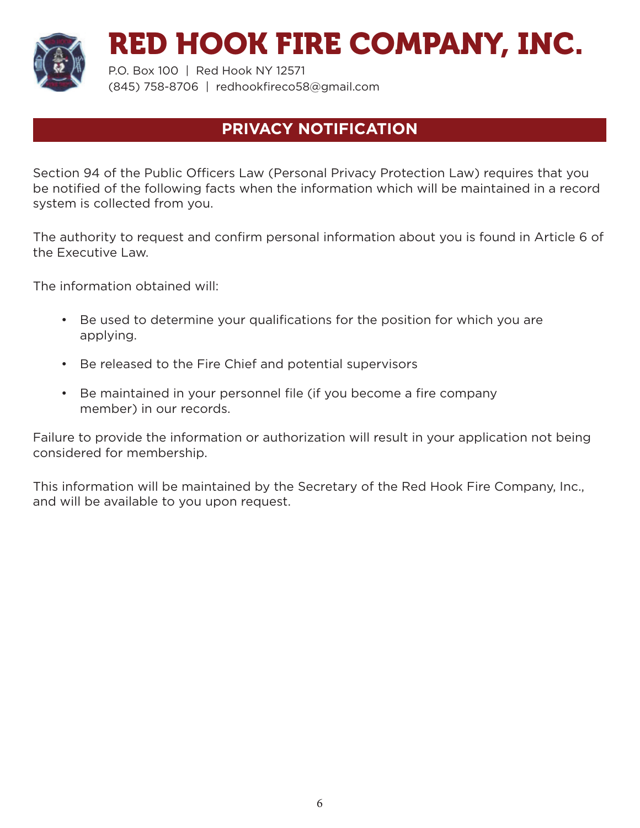

P.O. Box 100 | Red Hook NY 12571 (845) 758-8706 | redhookfireco58@gmail.com

## **PRIVACY NOTIFICATION**

Section 94 of the Public Officers Law (Personal Privacy Protection Law) requires that you be notified of the following facts when the information which will be maintained in a record system is collected from you.

The authority to request and confirm personal information about you is found in Article 6 of the Executive Law.

The information obtained will:

- Be used to determine your qualifications for the position for which you are applying.
- Be released to the Fire Chief and potential supervisors
- Be maintained in your personnel file (if you become a fire company member) in our records.

Failure to provide the information or authorization will result in your application not being considered for membership.

This information will be maintained by the Secretary of the Red Hook Fire Company, Inc., and will be available to you upon request.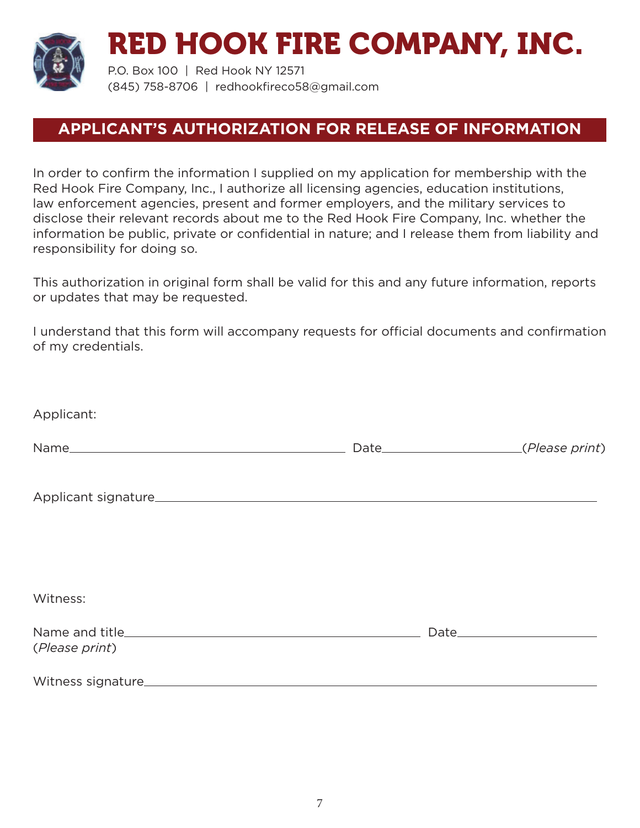

P.O. Box 100 | Red Hook NY 12571 (845) 758-8706 | redhookfireco58@gmail.com

## **APPLICANT'S AUTHORIZATION FOR RELEASE OF INFORMATION**

In order to confirm the information I supplied on my application for membership with the Red Hook Fire Company, Inc., I authorize all licensing agencies, education institutions, law enforcement agencies, present and former employers, and the military services to disclose their relevant records about me to the Red Hook Fire Company, Inc. whether the information be public, private or confidential in nature; and I release them from liability and responsibility for doing so.

This authorization in original form shall be valid for this and any future information, reports or updates that may be requested.

I understand that this form will accompany requests for official documents and confirmation of my credentials.

| Applicant:     |  |
|----------------|--|
|                |  |
|                |  |
| Witness:       |  |
| (Please print) |  |
|                |  |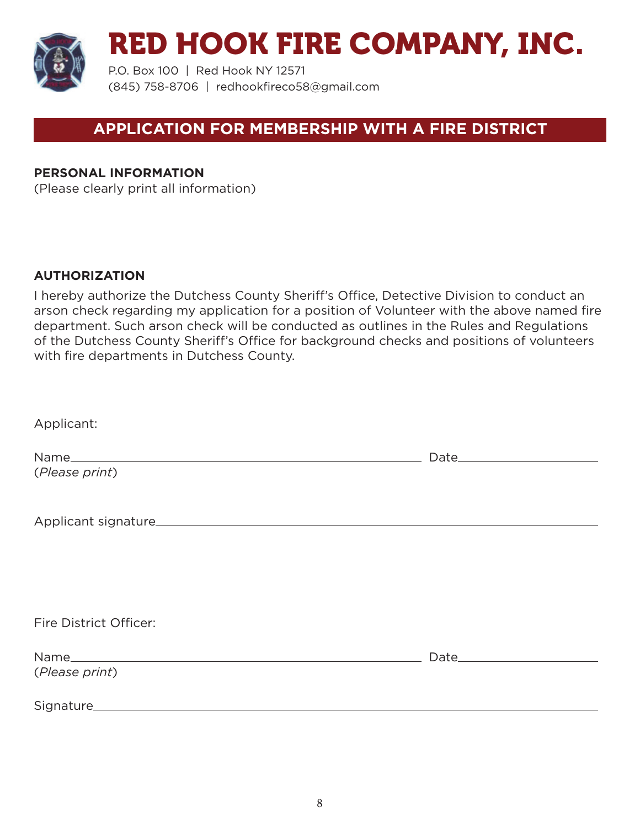

P.O. Box 100 | Red Hook NY 12571 (845) 758-8706 | redhookfireco58@gmail.com

## **APPLICATION FOR MEMBERSHIP WITH A FIRE DISTRICT**

#### **PERSONAL INFORMATION**

(Please clearly print all information)

#### **AUTHORIZATION**

I hereby authorize the Dutchess County Sheriff's Office, Detective Division to conduct an arson check regarding my application for a position of Volunteer with the above named fire department. Such arson check will be conducted as outlines in the Rules and Regulations of the Dutchess County Sheriff's Office for background checks and positions of volunteers with fire departments in Dutchess County.

| Applicant:             |  |
|------------------------|--|
|                        |  |
| (Please print)         |  |
|                        |  |
|                        |  |
|                        |  |
|                        |  |
|                        |  |
|                        |  |
| Fire District Officer: |  |
|                        |  |
| (Please print)         |  |
|                        |  |
|                        |  |
|                        |  |